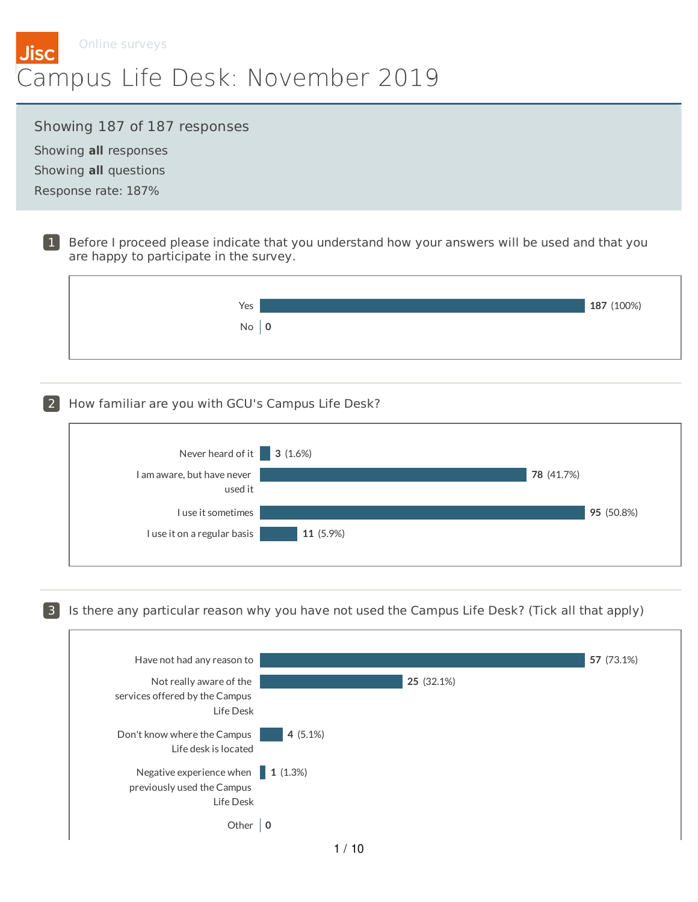

#### Showing 187 of 187 responses

Showing **all** responses Showing **all** questions Response rate: 187%

> 1 Before I proceed please indicate that you understand how your answers will be used and that you are happy to participate in the survey.



#### 2 How familiar are you with GCU's Campus Life Desk?



3 Is there any particular reason why you have not used the Campus Life Desk? (Tick all that apply)

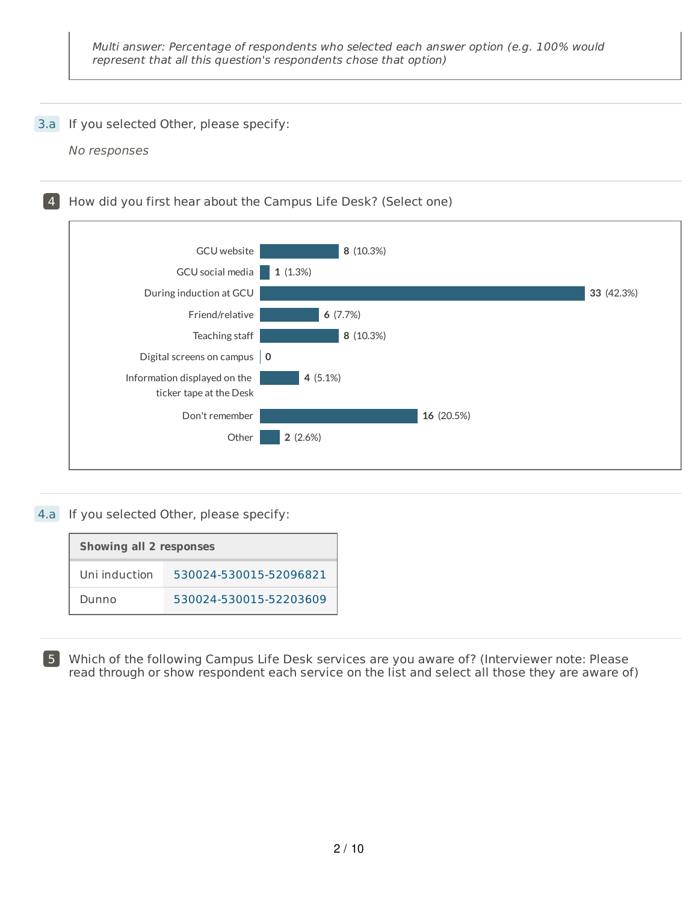#### 3.a If you selected Other, please specify:

No responses

4 How did you first hear about the Campus Life Desk? (Select one) GCU website GCU social media During induction at GCU Friend/relative Teaching staff Digital screens on campus **0** Information displayed on the ticker tape at the Desk Don't remember **Other 8** (10.3%) **1** (1.3%) **33** (42.3%) **6** (7.7%) **8** (10.3%) **4** (5.1%) **16** (20.5%) **2** (2.6%)

## 4.a If you selected Other, please specify:

| <b>Showing all 2 responses</b> |                        |  |
|--------------------------------|------------------------|--|
| Uni induction                  | 530024-530015-52096821 |  |
| Dunno                          | 530024-530015-52203609 |  |

5 Which of the following Campus Life Desk services are you aware of? (Interviewer note: Please read through or show respondent each service on the list and select all those they are aware of)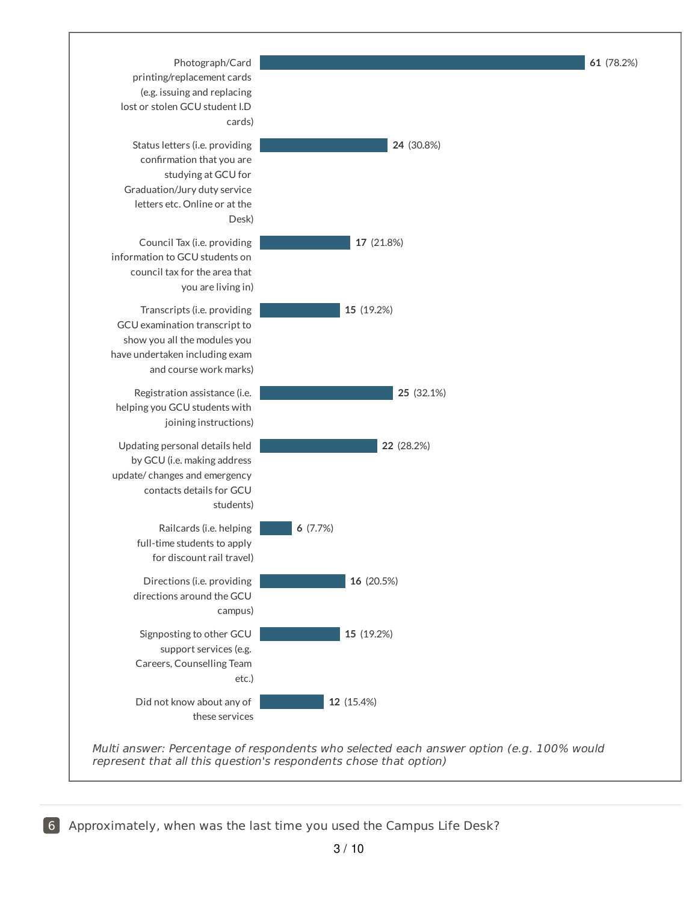

6 Approximately, when was the last time you used the Campus Life Desk?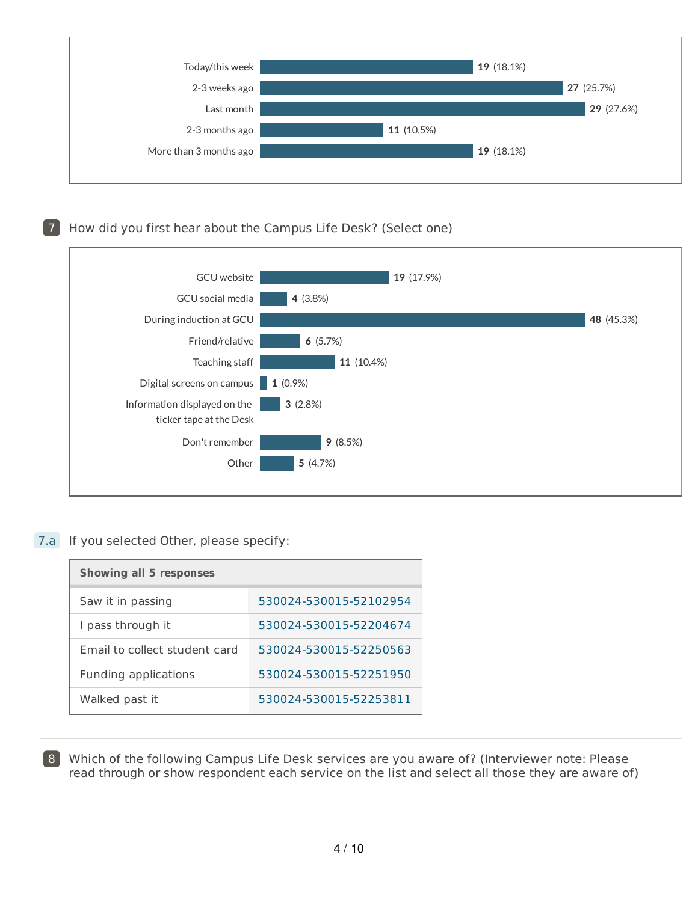

# 7 How did you first hear about the Campus Life Desk? (Select one)



#### 7.a If you selected Other, please specify:

| <b>Showing all 5 responses</b> |                        |  |  |
|--------------------------------|------------------------|--|--|
| Saw it in passing              | 530024-530015-52102954 |  |  |
| I pass through it              | 530024-530015-52204674 |  |  |
| Email to collect student card  | 530024-530015-52250563 |  |  |
| Funding applications           | 530024-530015-52251950 |  |  |
| Walked past it                 | 530024-530015-52253811 |  |  |

8 Which of the following Campus Life Desk services are you aware of? (Interviewer note: Please read through or show respondent each service on the list and select all those they are aware of)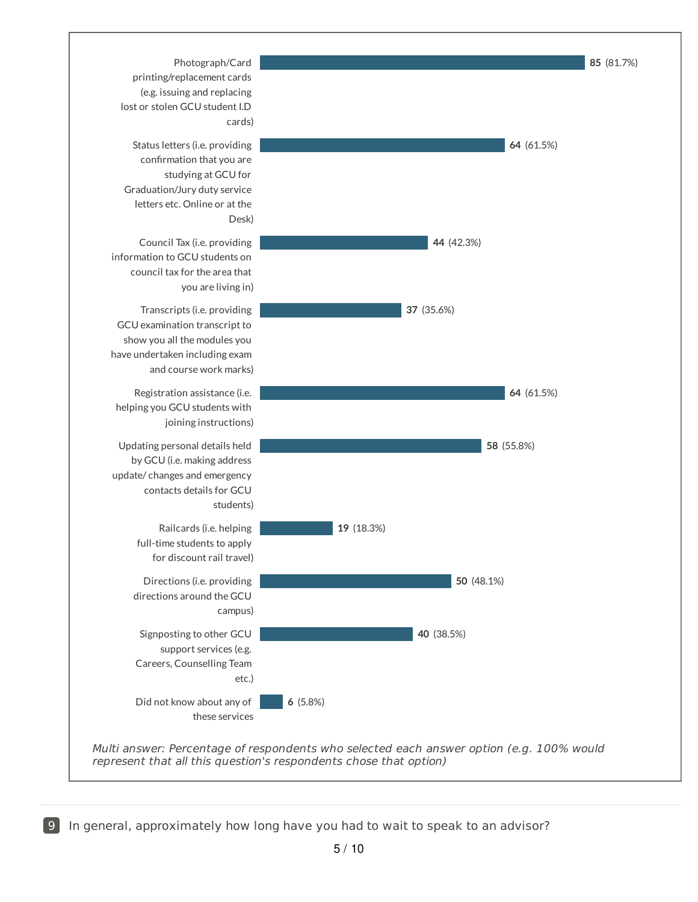

**9** In general, approximately how long have you had to wait to speak to an advisor?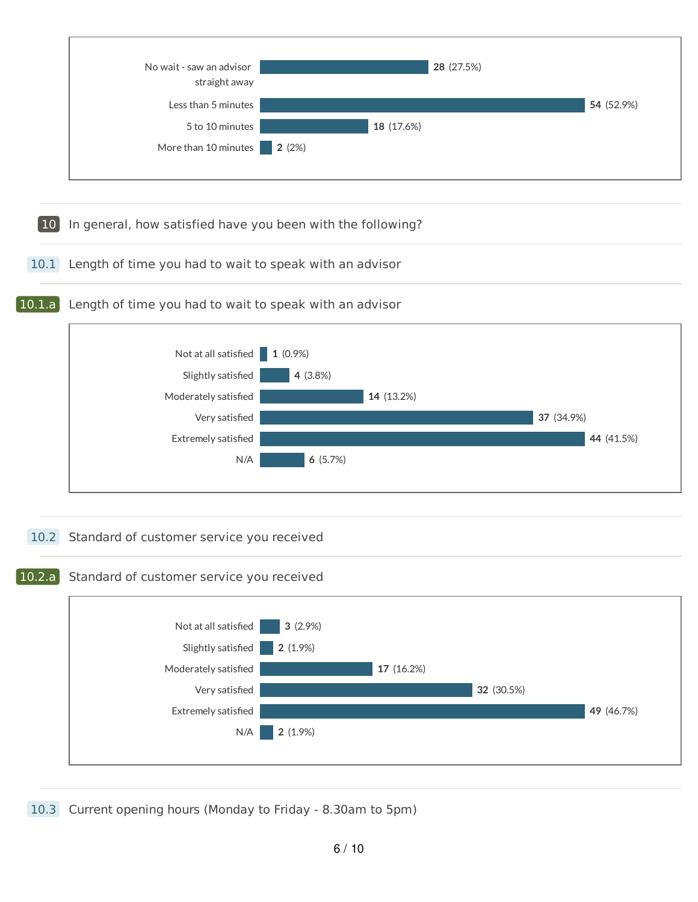

10.3 Current opening hours (Monday to Friday - 8.30am to 5pm)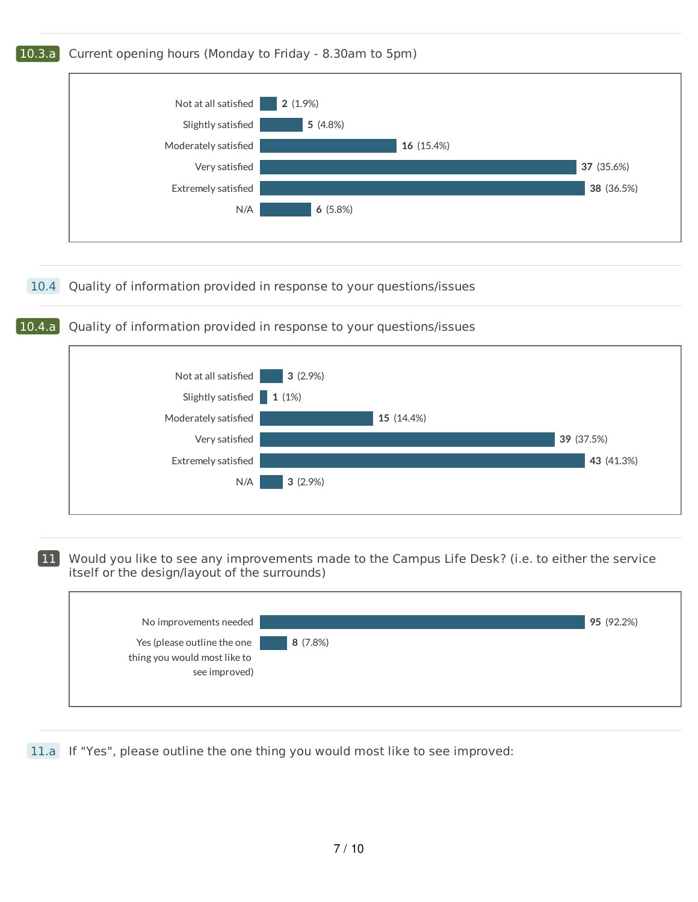

10.4.a Quality of information provided in response to your questions/issues



11 Would you like to see any improvements made to the Campus Life Desk? (i.e. to either the service itself or the design/layout of the surrounds)

| No improvements needed                                                       |         | 95 (92.2%) |
|------------------------------------------------------------------------------|---------|------------|
| Yes (please outline the one<br>thing you would most like to<br>see improved) | 8(7.8%) |            |

11.a If "Yes", please outline the one thing you would most like to see improved: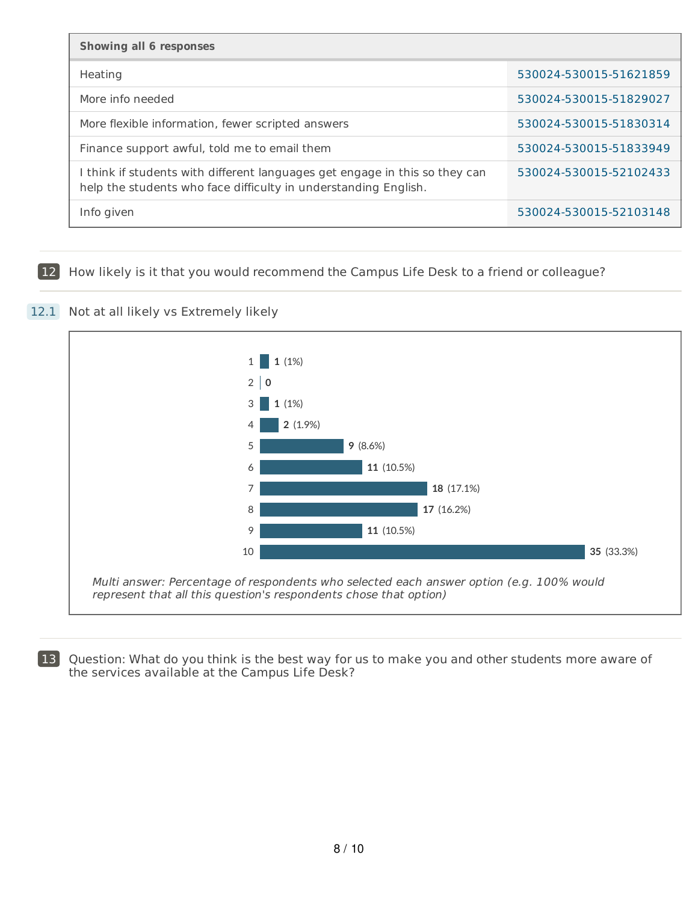| <b>Showing all 6 responses</b>                                                                                                                 |                        |  |
|------------------------------------------------------------------------------------------------------------------------------------------------|------------------------|--|
| Heating                                                                                                                                        | 530024-530015-51621859 |  |
| More info needed                                                                                                                               | 530024-530015-51829027 |  |
| More flexible information, fewer scripted answers                                                                                              | 530024-530015-51830314 |  |
| Finance support awful, told me to email them                                                                                                   | 530024-530015-51833949 |  |
| I think if students with different languages get engage in this so they can<br>help the students who face difficulty in understanding English. | 530024-530015-52102433 |  |
| Info given                                                                                                                                     | 530024-530015-52103148 |  |

12 How likely is it that you would recommend the Campus Life Desk to a friend or colleague?

## 12.1 Not at all likely vs Extremely likely



13 Question: What do you think is the best way for us to make you and other students more aware of the services available at the Campus Life Desk?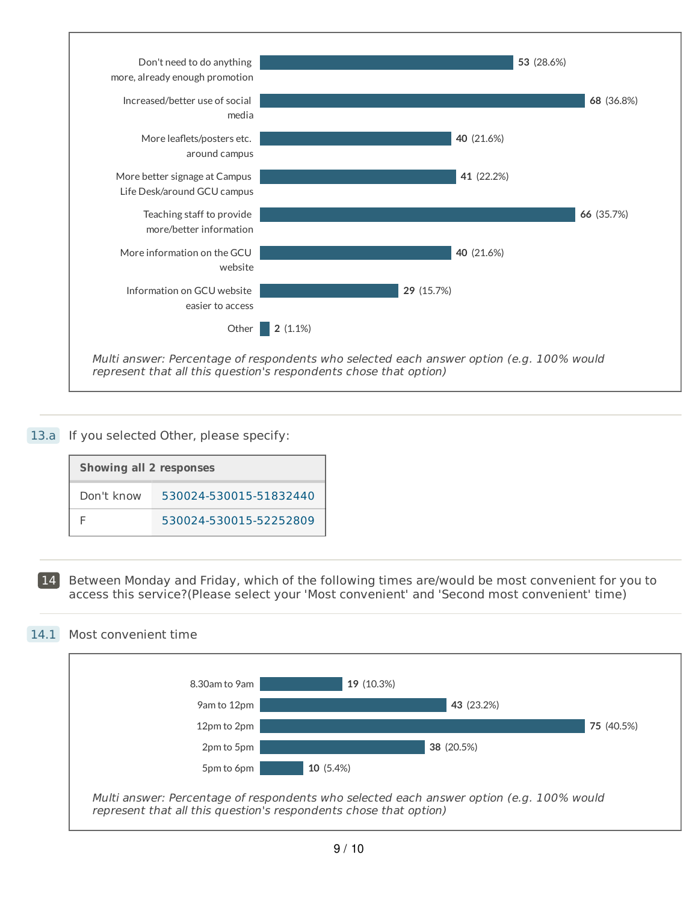

#### 13.a If you selected Other, please specify:

| <b>Showing all 2 responses</b> |                        |  |
|--------------------------------|------------------------|--|
| Don't know                     | 530024-530015-51832440 |  |
|                                | 530024-530015-52252809 |  |

14 Between Monday and Friday, which of the following times are/would be most convenient for you to access this service?(Please select your 'Most convenient' and 'Second most convenient' time)

#### 14.1 Most convenient time